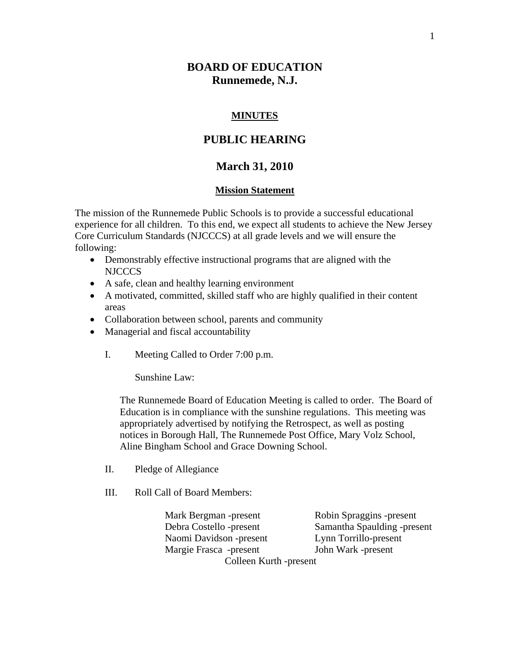# **BOARD OF EDUCATION Runnemede, N.J.**

### **MINUTES**

# **PUBLIC HEARING**

## **March 31, 2010**

#### **Mission Statement**

The mission of the Runnemede Public Schools is to provide a successful educational experience for all children. To this end, we expect all students to achieve the New Jersey Core Curriculum Standards (NJCCCS) at all grade levels and we will ensure the following:

- Demonstrably effective instructional programs that are aligned with the NJCCCS
- A safe, clean and healthy learning environment
- A motivated, committed, skilled staff who are highly qualified in their content areas
- Collaboration between school, parents and community
- Managerial and fiscal accountability
	- I. Meeting Called to Order 7:00 p.m.

Sunshine Law:

The Runnemede Board of Education Meeting is called to order. The Board of Education is in compliance with the sunshine regulations. This meeting was appropriately advertised by notifying the Retrospect, as well as posting notices in Borough Hall, The Runnemede Post Office, Mary Volz School, Aline Bingham School and Grace Downing School.

- II. Pledge of Allegiance
- III. Roll Call of Board Members:

 Mark Bergman -present Robin Spraggins -present Debra Costello -present Samantha Spaulding -present Naomi Davidson -present Lynn Torrillo-present Margie Frasca -present John Wark -present Colleen Kurth -present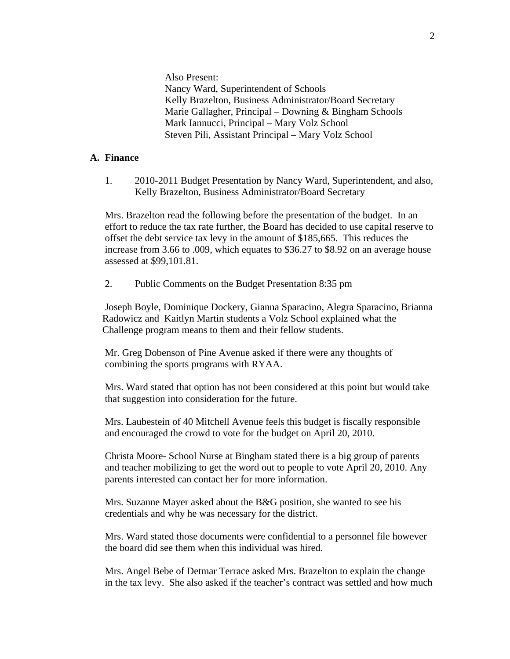Also Present: Nancy Ward, Superintendent of Schools Kelly Brazelton, Business Administrator/Board Secretary Marie Gallagher, Principal – Downing & Bingham Schools Mark Iannucci, Principal – Mary Volz School Steven Pili, Assistant Principal – Mary Volz School

### **A. Finance**

1. 2010-2011 Budget Presentation by Nancy Ward, Superintendent, and also, Kelly Brazelton, Business Administrator/Board Secretary

Mrs. Brazelton read the following before the presentation of the budget. In an effort to reduce the tax rate further, the Board has decided to use capital reserve to offset the debt service tax levy in the amount of \$185,665. This reduces the increase from 3.66 to .009, which equates to \$36.27 to \$8.92 on an average house assessed at \$99,101.81.

2. Public Comments on the Budget Presentation 8:35 pm

 Joseph Boyle, Dominique Dockery, Gianna Sparacino, Alegra Sparacino, Brianna Radowicz and Kaitlyn Martin students a Volz School explained what the Challenge program means to them and their fellow students.

 Mr. Greg Dobenson of Pine Avenue asked if there were any thoughts of combining the sports programs with RYAA.

 Mrs. Ward stated that option has not been considered at this point but would take that suggestion into consideration for the future.

 Mrs. Laubestein of 40 Mitchell Avenue feels this budget is fiscally responsible and encouraged the crowd to vote for the budget on April 20, 2010.

 Christa Moore- School Nurse at Bingham stated there is a big group of parents and teacher mobilizing to get the word out to people to vote April 20, 2010. Any parents interested can contact her for more information.

 Mrs. Suzanne Mayer asked about the B&G position, she wanted to see his credentials and why he was necessary for the district.

 Mrs. Ward stated those documents were confidential to a personnel file however the board did see them when this individual was hired.

 Mrs. Angel Bebe of Detmar Terrace asked Mrs. Brazelton to explain the change in the tax levy. She also asked if the teacher's contract was settled and how much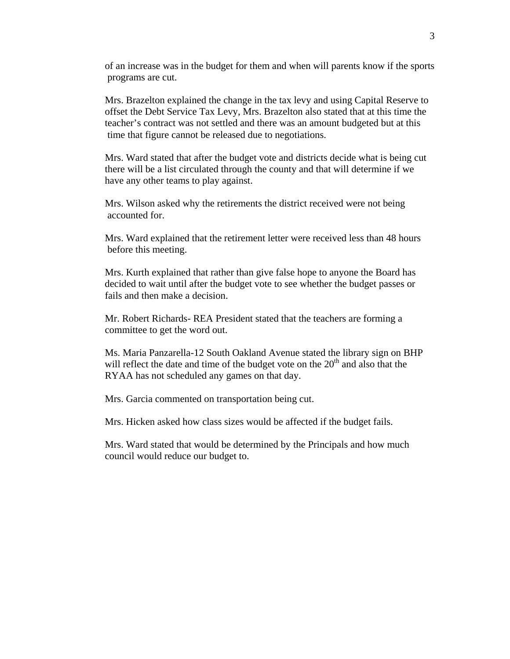of an increase was in the budget for them and when will parents know if the sports programs are cut.

 Mrs. Brazelton explained the change in the tax levy and using Capital Reserve to offset the Debt Service Tax Levy, Mrs. Brazelton also stated that at this time the teacher's contract was not settled and there was an amount budgeted but at this time that figure cannot be released due to negotiations.

 Mrs. Ward stated that after the budget vote and districts decide what is being cut there will be a list circulated through the county and that will determine if we have any other teams to play against.

 Mrs. Wilson asked why the retirements the district received were not being accounted for.

 Mrs. Ward explained that the retirement letter were received less than 48 hours before this meeting.

 Mrs. Kurth explained that rather than give false hope to anyone the Board has decided to wait until after the budget vote to see whether the budget passes or fails and then make a decision.

 Mr. Robert Richards- REA President stated that the teachers are forming a committee to get the word out.

 Ms. Maria Panzarella-12 South Oakland Avenue stated the library sign on BHP will reflect the date and time of the budget vote on the  $20<sup>th</sup>$  and also that the RYAA has not scheduled any games on that day.

Mrs. Garcia commented on transportation being cut.

Mrs. Hicken asked how class sizes would be affected if the budget fails.

 Mrs. Ward stated that would be determined by the Principals and how much council would reduce our budget to.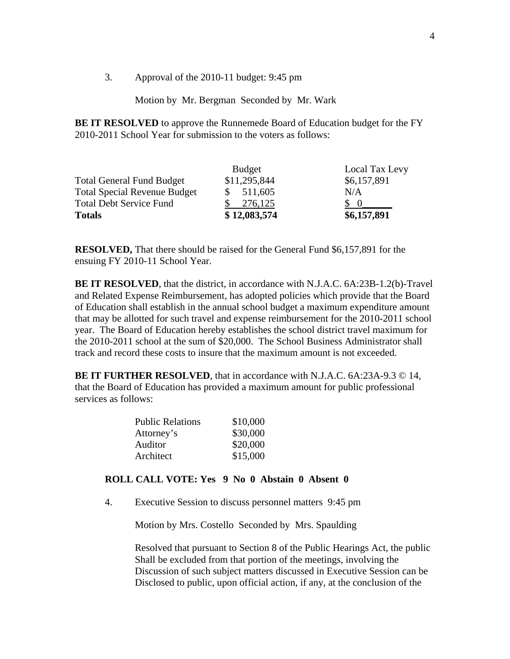3. Approval of the 2010-11 budget: 9:45 pm

Motion by Mr. Bergman Seconded by Mr. Wark

**BE IT RESOLVED** to approve the Runnemede Board of Education budget for the FY 2010-2011 School Year for submission to the voters as follows:

|                                     | <b>Budget</b> | Local Tax Levy |
|-------------------------------------|---------------|----------------|
| <b>Total General Fund Budget</b>    | \$11,295,844  | \$6,157,891    |
| <b>Total Special Revenue Budget</b> | 511,605       | N/A            |
| <b>Total Debt Service Fund</b>      | 276,125       | $\Omega$       |
| <b>Totals</b>                       | \$12,083,574  | \$6,157,891    |

**RESOLVED,** That there should be raised for the General Fund \$6,157,891 for the ensuing FY 2010-11 School Year.

**BE IT RESOLVED**, that the district, in accordance with N.J.A.C. 6A:23B-1.2(b)-Travel and Related Expense Reimbursement, has adopted policies which provide that the Board of Education shall establish in the annual school budget a maximum expenditure amount that may be allotted for such travel and expense reimbursement for the 2010-2011 school year. The Board of Education hereby establishes the school district travel maximum for the 2010-2011 school at the sum of \$20,000. The School Business Administrator shall track and record these costs to insure that the maximum amount is not exceeded.

**BE IT FURTHER RESOLVED**, that in accordance with N.J.A.C. 6A:23A-9.3 © 14, that the Board of Education has provided a maximum amount for public professional services as follows:

| <b>Public Relations</b> | \$10,000 |
|-------------------------|----------|
| Attorney's              | \$30,000 |
| Auditor                 | \$20,000 |
| Architect               | \$15,000 |
|                         |          |

### **ROLL CALL VOTE: Yes 9 No 0 Abstain 0 Absent 0**

4. Executive Session to discuss personnel matters 9:45 pm

Motion by Mrs. Costello Seconded by Mrs. Spaulding

 Resolved that pursuant to Section 8 of the Public Hearings Act, the public Shall be excluded from that portion of the meetings, involving the Discussion of such subject matters discussed in Executive Session can be Disclosed to public, upon official action, if any, at the conclusion of the